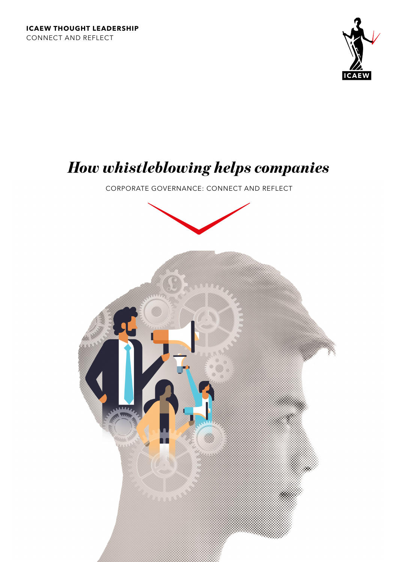

# *How whistleblowing helps companies*

CORPORATE GOVERNANCE: CONNECT AND REFLECT

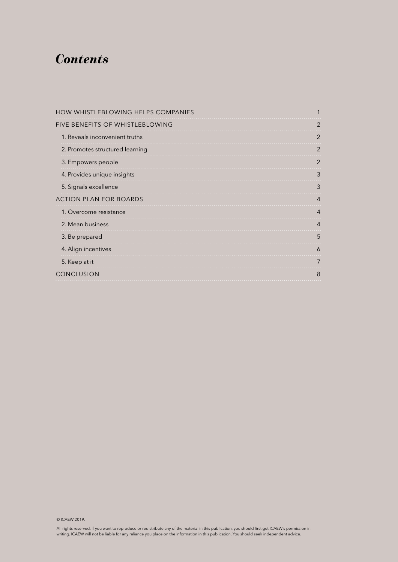## *Contents*

| HOW WHISTLEBLOWING HELPS COMPANIES |   |
|------------------------------------|---|
| FIVE BENEFITS OF WHISTLEBLOWING    |   |
| 1. Reveals inconvenient truths     |   |
| 2. Promotes structured learning    |   |
| 3. Empowers people                 |   |
| 4. Provides unique insights        | К |
| 5. Signals excellence              |   |
| <b>ACTION PLAN FOR BOARDS</b>      |   |
| 1. Overcome resistance             |   |
| 2. Mean business                   |   |
| 3. Be prepared                     |   |
| 4. Align incentives                |   |
| 5. Keep at it                      |   |
| CONCLUSION                         |   |
|                                    |   |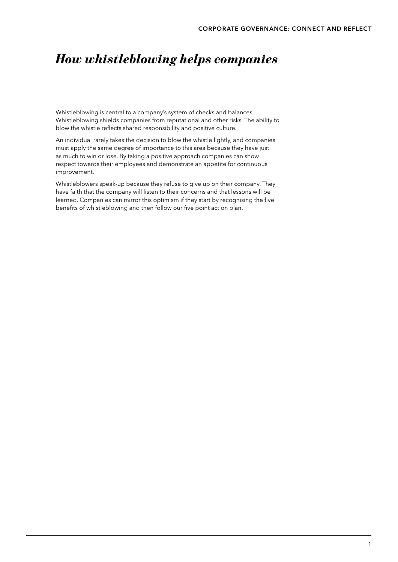# <span id="page-2-0"></span>*How whistleblowing helps companies*

Whistleblowing is central to a company's system of checks and balances. Whistleblowing shields companies from reputational and other risks. The ability to blow the whistle reflects shared responsibility and positive culture.

An individual rarely takes the decision to blow the whistle lightly, and companies must apply the same degree of importance to this area because they have just as much to win or lose. By taking a positive approach companies can show respect towards their employees and demonstrate an appetite for continuous improvement.

Whistleblowers speak-up because they refuse to give up on their company. They have faith that the company will listen to their concerns and that lessons will be learned. Companies can mirror this optimism if they start by recognising the five benefits of whistleblowing and then follow our five point action plan.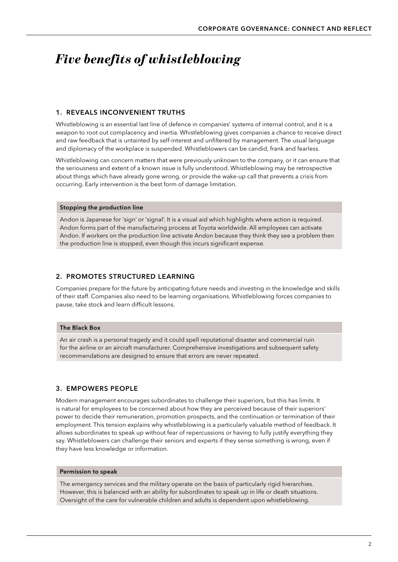# <span id="page-3-0"></span>*Five benefits of whistleblowing*

#### 1. REVEALS INCONVENIENT TRUTHS

Whistleblowing is an essential last line of defence in companies' systems of internal control, and it is a weapon to root out complacency and inertia. Whistleblowing gives companies a chance to receive direct and raw feedback that is untainted by self-interest and unfiltered by management. The usual language and diplomacy of the workplace is suspended. Whistleblowers can be candid, frank and fearless.

Whistleblowing can concern matters that were previously unknown to the company, or it can ensure that the seriousness and extent of a known issue is fully understood. Whistleblowing may be retrospective about things which have already gone wrong, or provide the wake-up call that prevents a crisis from occurring. Early intervention is the best form of damage limitation.

#### Stopping the production line

Andon is Japanese for 'sign' or 'signal'. It is a visual aid which highlights where action is required. Andon forms part of the manufacturing process at Toyota worldwide. All employees can activate Andon. If workers on the production line activate Andon because they think they see a problem then the production line is stopped, even though this incurs significant expense.

#### 2. PROMOTES STRUCTURED LEARNING

Companies prepare for the future by anticipating future needs and investing in the knowledge and skills of their staff. Companies also need to be learning organisations. Whistleblowing forces companies to pause, take stock and learn difficult lessons.

#### The Black Box

An air crash is a personal tragedy and it could spell reputational disaster and commercial ruin for the airline or an aircraft manufacturer. Comprehensive investigations and subsequent safety recommendations are designed to ensure that errors are never repeated.

#### 3. EMPOWERS PEOPLE

Modern management encourages subordinates to challenge their superiors, but this has limits. It is natural for employees to be concerned about how they are perceived because of their superiors' power to decide their remuneration, promotion prospects, and the continuation or termination of their employment. This tension explains why whistleblowing is a particularly valuable method of feedback. It allows subordinates to speak up without fear of repercussions or having to fully justify everything they say. Whistleblowers can challenge their seniors and experts if they sense something is wrong, even if they have less knowledge or information.

#### Permission to speak

The emergency services and the military operate on the basis of particularly rigid hierarchies. However, this is balanced with an ability for subordinates to speak up in life or death situations. Oversight of the care for vulnerable children and adults is dependent upon whistleblowing.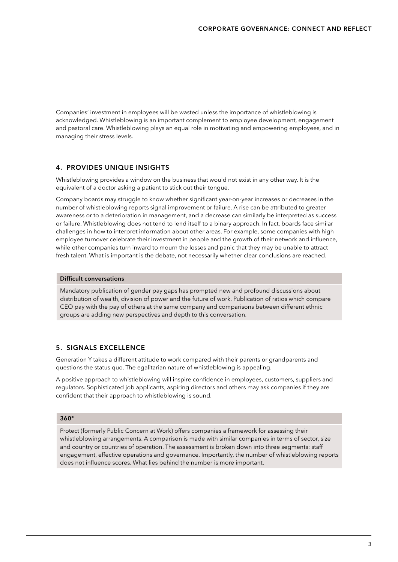<span id="page-4-0"></span>Companies' investment in employees will be wasted unless the importance of whistleblowing is acknowledged. Whistleblowing is an important complement to employee development, engagement and pastoral care. Whistleblowing plays an equal role in motivating and empowering employees, and in managing their stress levels.

#### 4. PROVIDES UNIQUE INSIGHTS

Whistleblowing provides a window on the business that would not exist in any other way. It is the equivalent of a doctor asking a patient to stick out their tongue.

Company boards may struggle to know whether significant year-on-year increases or decreases in the number of whistleblowing reports signal improvement or failure. A rise can be attributed to greater awareness or to a deterioration in management, and a decrease can similarly be interpreted as success or failure. Whistleblowing does not tend to lend itself to a binary approach. In fact, boards face similar challenges in how to interpret information about other areas. For example, some companies with high employee turnover celebrate their investment in people and the growth of their network and influence, while other companies turn inward to mourn the losses and panic that they may be unable to attract fresh talent. What is important is the debate, not necessarily whether clear conclusions are reached.

#### Difficult conversations

Mandatory publication of gender pay gaps has prompted new and profound discussions about distribution of wealth, division of power and the future of work. Publication of ratios which compare CEO pay with the pay of others at the same company and comparisons between different ethnic groups are adding new perspectives and depth to this conversation.

#### 5. SIGNALS EXCELLENCE

Generation Y takes a different attitude to work compared with their parents or grandparents and questions the status quo. The egalitarian nature of whistleblowing is appealing.

A positive approach to whistleblowing will inspire confidence in employees, customers, suppliers and regulators. Sophisticated job applicants, aspiring directors and others may ask companies if they are confident that their approach to whistleblowing is sound.

#### 360°

Protect (formerly Public Concern at Work) offers companies a framework for assessing their whistleblowing arrangements. A comparison is made with similar companies in terms of sector, size and country or countries of operation. The assessment is broken down into three segments: staff engagement, effective operations and governance. Importantly, the number of whistleblowing reports does not influence scores. What lies behind the number is more important.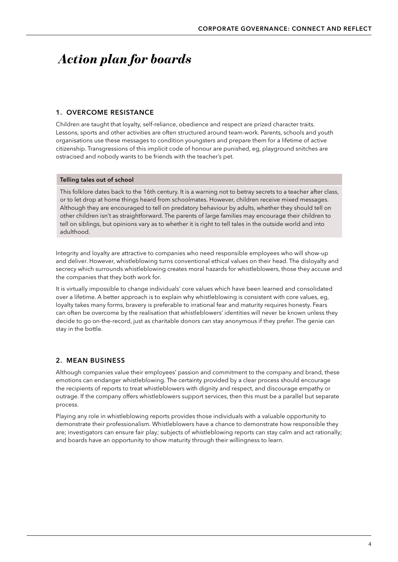# <span id="page-5-0"></span> *Action plan for boards*

#### 1. OVERCOME RESISTANCE

Children are taught that loyalty, self-reliance, obedience and respect are prized character traits. Lessons, sports and other activities are often structured around team-work. Parents, schools and youth organisations use these messages to condition youngsters and prepare them for a lifetime of active citizenship. Transgressions of this implicit code of honour are punished, eg, playground snitches are ostracised and nobody wants to be friends with the teacher's pet.

#### Telling tales out of school

This folklore dates back to the 16th century. It is a warning not to betray secrets to a teacher after class, or to let drop at home things heard from schoolmates. However, children receive mixed messages. Although they are encouraged to tell on predatory behaviour by adults, whether they should tell on other children isn't as straightforward. The parents of large families may encourage their children to tell on siblings, but opinions vary as to whether it is right to tell tales in the outside world and into adulthood.

Integrity and loyalty are attractive to companies who need responsible employees who will show-up and deliver. However, whistleblowing turns conventional ethical values on their head. The disloyalty and secrecy which surrounds whistleblowing creates moral hazards for whistleblowers, those they accuse and the companies that they both work for.

It is virtually impossible to change individuals' core values which have been learned and consolidated over a lifetime. A better approach is to explain why whistleblowing is consistent with core values, eg, loyalty takes many forms, bravery is preferable to irrational fear and maturity requires honesty. Fears can often be overcome by the realisation that whistleblowers' identities will never be known unless they decide to go on-the-record, just as charitable donors can stay anonymous if they prefer. The genie can stay in the bottle.

#### 2. MEAN BUSINESS

Although companies value their employees' passion and commitment to the company and brand, these emotions can endanger whistleblowing. The certainty provided by a clear process should encourage the recipients of reports to treat whistleblowers with dignity and respect, and discourage empathy or outrage. If the company offers whistleblowers support services, then this must be a parallel but separate process.

Playing any role in whistleblowing reports provides those individuals with a valuable opportunity to demonstrate their professionalism. Whistleblowers have a chance to demonstrate how responsible they are; investigators can ensure fair play; subjects of whistleblowing reports can stay calm and act rationally; and boards have an opportunity to show maturity through their willingness to learn.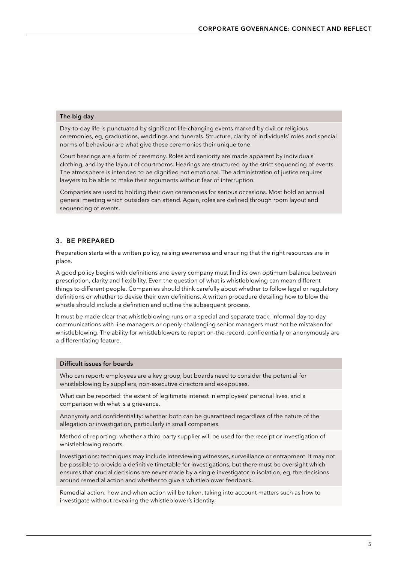#### <span id="page-6-0"></span>The big day

Day-to-day life is punctuated by significant life-changing events marked by civil or religious ceremonies, eg, graduations, weddings and funerals. Structure, clarity of individuals' roles and special norms of behaviour are what give these ceremonies their unique tone.

Court hearings are a form of ceremony. Roles and seniority are made apparent by individuals' clothing, and by the layout of courtrooms. Hearings are structured by the strict sequencing of events. The atmosphere is intended to be dignified not emotional. The administration of justice requires lawyers to be able to make their arguments without fear of interruption.

Companies are used to holding their own ceremonies for serious occasions. Most hold an annual general meeting which outsiders can attend. Again, roles are defined through room layout and sequencing of events.

#### 3. BE PREPARED

Preparation starts with a written policy, raising awareness and ensuring that the right resources are in place.

A good policy begins with definitions and every company must find its own optimum balance between prescription, clarity and flexibility. Even the question of what is whistleblowing can mean different things to different people. Companies should think carefully about whether to follow legal or regulatory definitions or whether to devise their own definitions. A written procedure detailing how to blow the whistle should include a definition and outline the subsequent process.

It must be made clear that whistleblowing runs on a special and separate track. Informal day-to-day communications with line managers or openly challenging senior managers must not be mistaken for whistleblowing. The ability for whistleblowers to report on-the-record, confidentially or anonymously are a differentiating feature.

#### Difficult issues for boards

Who can report: employees are a key group, but boards need to consider the potential for whistleblowing by suppliers, non-executive directors and ex-spouses.

What can be reported: the extent of legitimate interest in employees' personal lives, and a comparison with what is a grievance.

Anonymity and confidentiality: whether both can be guaranteed regardless of the nature of the allegation or investigation, particularly in small companies.

Method of reporting: whether a third party supplier will be used for the receipt or investigation of whistleblowing reports.

Investigations: techniques may include interviewing witnesses, surveillance or entrapment. It may not be possible to provide a definitive timetable for investigations, but there must be oversight which ensures that crucial decisions are never made by a single investigator in isolation, eg, the decisions around remedial action and whether to give a whistleblower feedback.

Remedial action: how and when action will be taken, taking into account matters such as how to investigate without revealing the whistleblower's identity.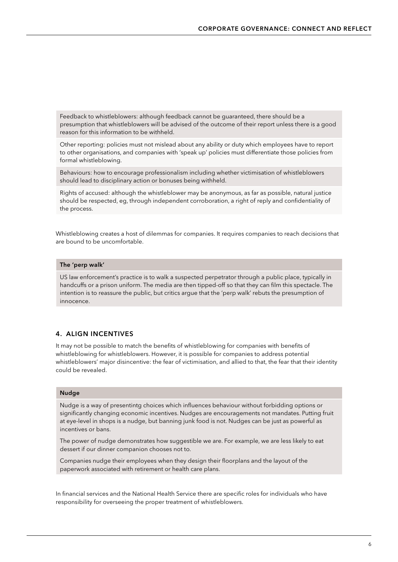<span id="page-7-0"></span>Feedback to whistleblowers: although feedback cannot be guaranteed, there should be a presumption that whistleblowers will be advised of the outcome of their report unless there is a good reason for this information to be withheld.

Other reporting: policies must not mislead about any ability or duty which employees have to report to other organisations, and companies with 'speak up' policies must differentiate those policies from formal whistleblowing.

Behaviours: how to encourage professionalism including whether victimisation of whistleblowers should lead to disciplinary action or bonuses being withheld.

Rights of accused: although the whistleblower may be anonymous, as far as possible, natural justice should be respected, eg, through independent corroboration, a right of reply and confidentiality of the process.

Whistleblowing creates a host of dilemmas for companies. It requires companies to reach decisions that are bound to be uncomfortable.

#### The 'perp walk'

US law enforcement's practice is to walk a suspected perpetrator through a public place, typically in handcuffs or a prison uniform. The media are then tipped-off so that they can film this spectacle. The intention is to reassure the public, but critics argue that the 'perp walk' rebuts the presumption of innocence.

#### 4. ALIGN INCENTIVES

It may not be possible to match the benefits of whistleblowing for companies with benefits of whistleblowing for whistleblowers. However, it is possible for companies to address potential whistleblowers' major disincentive: the fear of victimisation, and allied to that, the fear that their identity could be revealed.

#### Nudge

Nudge is a way of presentintg choices which influences behaviour without forbidding options or significantly changing economic incentives. Nudges are encouragements not mandates. Putting fruit at eye-level in shops is a nudge, but banning junk food is not. Nudges can be just as powerful as incentives or bans.

The power of nudge demonstrates how suggestible we are. For example, we are less likely to eat dessert if our dinner companion chooses not to.

Companies nudge their employees when they design their floorplans and the layout of the paperwork associated with retirement or health care plans.

In financial services and the National Health Service there are specific roles for individuals who have responsibility for overseeing the proper treatment of whistleblowers.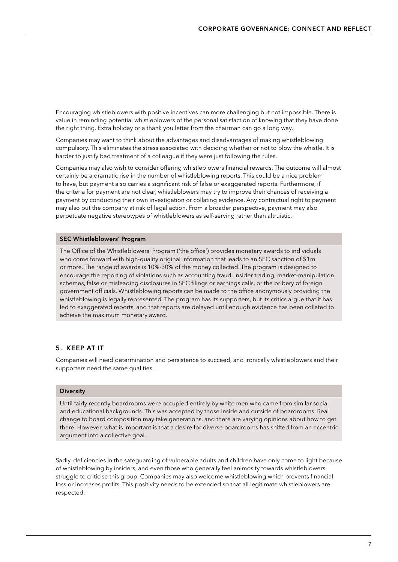<span id="page-8-0"></span>Encouraging whistleblowers with positive incentives can more challenging but not impossible. There is value in reminding potential whistleblowers of the personal satisfaction of knowing that they have done the right thing. Extra holiday or a thank you letter from the chairman can go a long way.

Companies may want to think about the advantages and disadvantages of making whistleblowing compulsory. This eliminates the stress associated with deciding whether or not to blow the whistle. It is harder to justify bad treatment of a colleague if they were just following the rules.

Companies may also wish to consider offering whistleblowers financial rewards. The outcome will almost certainly be a dramatic rise in the number of whistleblowing reports. This could be a nice problem to have, but payment also carries a significant risk of false or exaggerated reports. Furthermore, if the criteria for payment are not clear, whistleblowers may try to improve their chances of receiving a payment by conducting their own investigation or collating evidence. Any contractual right to payment may also put the company at risk of legal action. From a broader perspective, payment may also perpetuate negative stereotypes of whistleblowers as self-serving rather than altruistic.

#### SEC Whistleblowers' Program

The Office of the Whistleblowers' Program ('the office') provides monetary awards to individuals who come forward with high-quality original information that leads to an SEC sanction of \$1m or more. The range of awards is 10%-30% of the money collected. The program is designed to encourage the reporting of violations such as accounting fraud, insider trading, market-manipulation schemes, false or misleading disclosures in SEC filings or earnings calls, or the bribery of foreign government officials. Whistleblowing reports can be made to the office anonymously providing the whistleblowing is legally represented. The program has its supporters, but its critics argue that it has led to exaggerated reports, and that reports are delayed until enough evidence has been collated to achieve the maximum monetary award.

#### 5. KEEP AT IT

Companies will need determination and persistence to succeed, and ironically whistleblowers and their supporters need the same qualities.

#### **Diversity**

Until fairly recently boardrooms were occupied entirely by white men who came from similar social and educational backgrounds. This was accepted by those inside and outside of boardrooms. Real change to board composition may take generations, and there are varying opinions about how to get there. However, what is important is that a desire for diverse boardrooms has shifted from an eccentric argument into a collective goal.

Sadly, deficiencies in the safeguarding of vulnerable adults and children have only come to light because of whistleblowing by insiders, and even those who generally feel animosity towards whistleblowers struggle to criticise this group. Companies may also welcome whistleblowing which prevents financial loss or increases profits. This positivity needs to be extended so that all legitimate whistleblowers are respected.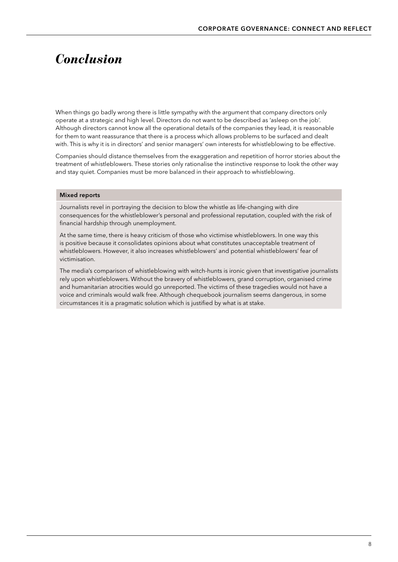### <span id="page-9-0"></span>*Conclusion*

When things go badly wrong there is little sympathy with the argument that company directors only operate at a strategic and high level. Directors do not want to be described as 'asleep on the job'. Although directors cannot know all the operational details of the companies they lead, it is reasonable for them to want reassurance that there is a process which allows problems to be surfaced and dealt with. This is why it is in directors' and senior managers' own interests for whistleblowing to be effective.

Companies should distance themselves from the exaggeration and repetition of horror stories about the treatment of whistleblowers. These stories only rationalise the instinctive response to look the other way and stay quiet. Companies must be more balanced in their approach to whistleblowing.

#### Mixed reports

Journalists revel in portraying the decision to blow the whistle as life-changing with dire consequences for the whistleblower's personal and professional reputation, coupled with the risk of financial hardship through unemployment.

At the same time, there is heavy criticism of those who victimise whistleblowers. In one way this is positive because it consolidates opinions about what constitutes unacceptable treatment of whistleblowers. However, it also increases whistleblowers' and potential whistleblowers' fear of victimisation.

The media's comparison of whistleblowing with witch-hunts is ironic given that investigative journalists rely upon whistleblowers. Without the bravery of whistleblowers, grand corruption, organised crime and humanitarian atrocities would go unreported. The victims of these tragedies would not have a voice and criminals would walk free. Although chequebook journalism seems dangerous, in some circumstances it is a pragmatic solution which is justified by what is at stake.